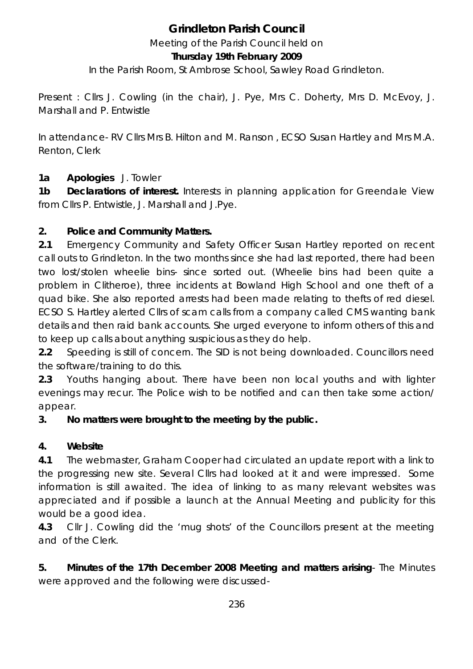# **Grindleton Parish Council**

Meeting of the Parish Council held on

#### **Thursday 19th February 2009**

In the Parish Room, St Ambrose School, Sawley Road Grindleton.

Present : Cllrs J. Cowling (in the chair), J. Pye, Mrs C. Doherty, Mrs D. McEvoy, J. Marshall and P. Entwistle

In attendance- RV Cllrs Mrs B. Hilton and M. Ranson , ECSO Susan Hartley and Mrs M.A. Renton, Clerk

#### **1a Apologies** J. Towler

**1b Declarations of interest.** Interests in planning application for Greendale View from Cllrs P. Entwistle, J. Marshall and J.Pye.

#### **2. Police and Community Matters.**

**2.1** Emergency Community and Safety Officer Susan Hartley reported on recent call outs to Grindleton. In the two months since she had last reported, there had been two lost/stolen wheelie bins- since sorted out. (Wheelie bins had been quite a problem in Clitheroe), three incidents at Bowland High School and one theft of a quad bike. She also reported arrests had been made relating to thefts of red diesel. ECSO S. Hartley alerted Cllrs of scam calls from a company called CMS wanting bank details and then raid bank accounts. She urged everyone to inform others of this and to keep up calls about anything suspicious as they do help.

**2.2** Speeding is still of concern. The SID is not being downloaded. Councillors need the software/training to do this.

**2.3** Youths hanging about. There have been non local youths and with lighter evenings may recur. The Police wish to be notified and can then take some action/ appear.

#### **3. No matters were brought to the meeting by the public.**

#### **4. Website**

**4.1** The webmaster, Graham Cooper had circulated an update report with a link to the progressing new site. Several Cllrs had looked at it and were impressed. Some information is still awaited. The idea of linking to as many relevant websites was appreciated and if possible a launch at the Annual Meeting and publicity for this would be a good idea.

**4.3** Cllr J. Cowling did the 'mug shots' of the Councillors present at the meeting and of the Clerk.

**5. Minutes of the 17th December 2008 Meeting and matters arising**- The Minutes were approved and the following were discussed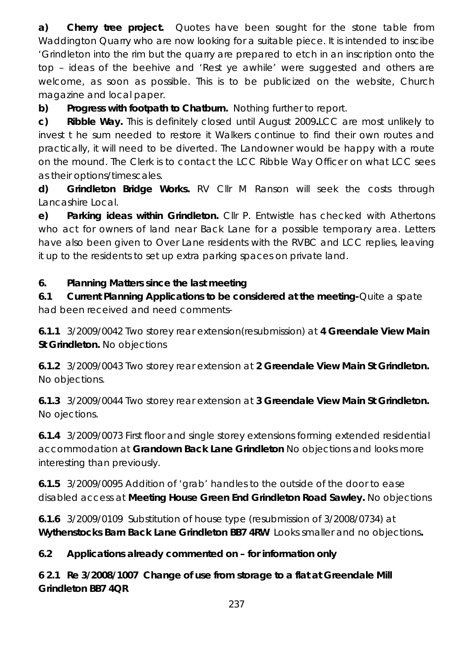**a) Cherry tree project.** Quotes have been sought for the stone table from Waddington Quarry who are now looking for a suitable piece. It is intended to inscibe 'Grindleton into the rim but the quarry are prepared to etch in an inscription onto the top – ideas of the beehive and 'Rest ye awhile' were suggested and others are welcome, as soon as possible. This is to be publicized on the website, Church magazine and local paper.

**b) Progress with footpath to Chatburn.** Nothing further to report.

**c) Ribble Way.** This is definitely closed until August 2009**.**LCC are most unlikely to invest t he sum needed to restore it Walkers continue to find their own routes and practically, it will need to be diverted. The Landowner would be happy with a route on the mound. The Clerk is to contact the LCC Ribble Way Officer on what LCC sees as their options/timescales.

**d) Grindleton Bridge Works.** RV Cllr M Ranson will seek the costs through Lancashire Local.

**e) Parking ideas within Grindleton.** Cllr P. Entwistle has checked with Athertons who act for owners of land near Back Lane for a possible temporary area. Letters have also been given to Over Lane residents with the RVBC and LCC replies, leaving it up to the residents to set up extra parking spaces on private land.

#### **6. Planning Matters since the last meeting**

**6.1 Current Planning Applications to be considered at the meeting-**Quite a spate had been received and need comments-

**6.1.1** 3/2009/0042 Two storey rear extension(resubmission) at **4 Greendale View Main St Grindleton.** No objections

**6.1.2** 3/2009/0043 Two storey rear extension at **2 Greendale View Main St Grindleton.**  No objections.

**6.1.3** 3/2009/0044 Two storey rear extension at **3 Greendale View Main St Grindleton.**  No ojections.

**6.1.4** 3/2009/0073 First floor and single storey extensions forming extended residential accommodation at **Grandown Back Lane Grindleton** No objections and looks more interesting than previously.

**6.1.5** 3/2009/0095 Addition of 'grab' handles to the outside of the door to ease disabled access at **Meeting House Green End Grindleton Road Sawley.** No objections

**6.1.6** 3/2009/0109 Substitution of house type (resubmission of 3/2008/0734) at **Wythenstocks Barn Back Lane Grindleton BB7 4RW** Looks smaller and no objections**.** 

### **6.2 Applications already commented on – for information only**

**6 2.1 Re 3/2008/1007 Change of use from storage to a flat at Greendale Mill Grindleton BB7 4QR**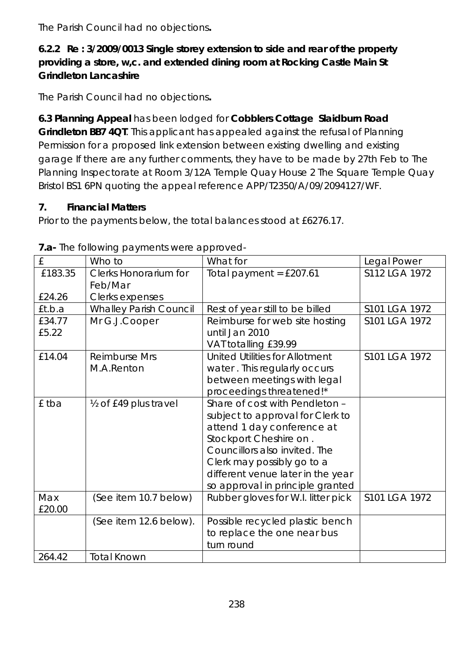The Parish Council had no objections**.** 

# **6.2.2 Re : 3/2009/0013 Single storey extension to side and rear of the property providing a store, w,c. and extended dining room at Rocking Castle Main St Grindleton Lancashire**

The Parish Council had no objections**.** 

**6.3 Planning Appeal** has been lodged for **Cobblers Cottage Slaidburn Road Grindleton BB7 4QT**. This applicant has appealed against the refusal of Planning Permission for a proposed link extension between existing dwelling and existing garage If there are any further comments, they have to be made by 27th Feb to The Planning Inspectorate at Room 3/12A Temple Quay House 2 The Square Temple Quay Bristol BS1 6PN quoting the appeal reference APP/T2350/A/09/2094127/WF.

# **7. Financial Matters**

Prior to the payments below, the total balances stood at £6276.17.

| ind roller in group and the more approved |                               |                                       |               |  |  |  |  |
|-------------------------------------------|-------------------------------|---------------------------------------|---------------|--|--|--|--|
| £                                         | Who to                        | What for                              | Legal Power   |  |  |  |  |
| £183.35                                   | Clerks Honorarium for         | Total payment = $£207.61$             | S112 LGA 1972 |  |  |  |  |
|                                           | Feb/Mar                       |                                       |               |  |  |  |  |
| £24.26                                    | Clerks expenses               |                                       |               |  |  |  |  |
| £t.b.a                                    | <b>Whalley Parish Council</b> | Rest of year still to be billed       | S101 LGA 1972 |  |  |  |  |
| £34.77                                    | Mr G.J.Cooper                 | Reimburse for web site hosting        | S101 LGA 1972 |  |  |  |  |
| £5.22                                     |                               | until Jan 2010                        |               |  |  |  |  |
|                                           |                               | VAT totalling £39.99                  |               |  |  |  |  |
| £14.04                                    | Reimburse Mrs                 | <b>United Utilities for Allotment</b> |               |  |  |  |  |
|                                           | M.A.Renton                    | water. This regularly occurs          |               |  |  |  |  |
|                                           |                               | between meetings with legal           |               |  |  |  |  |
|                                           |                               | proceedings threatened!*              |               |  |  |  |  |
| £ tba                                     | 1/2 of £49 plus travel        | Share of cost with Pendleton -        |               |  |  |  |  |
|                                           |                               | subject to approval for Clerk to      |               |  |  |  |  |
|                                           |                               | attend 1 day conference at            |               |  |  |  |  |
|                                           |                               | Stockport Cheshire on.                |               |  |  |  |  |
|                                           |                               | Councillors also invited. The         |               |  |  |  |  |
|                                           |                               | Clerk may possibly go to a            |               |  |  |  |  |
|                                           |                               | different venue later in the year     |               |  |  |  |  |
|                                           |                               | so approval in principle granted      |               |  |  |  |  |
| Max                                       | (See item 10.7 below)         | Rubber gloves for W.I. litter pick    | S101 LGA 1972 |  |  |  |  |
| £20.00                                    |                               |                                       |               |  |  |  |  |
|                                           | (See item 12.6 below).        | Possible recycled plastic bench       |               |  |  |  |  |
|                                           |                               | to replace the one near bus           |               |  |  |  |  |
|                                           |                               | turn round                            |               |  |  |  |  |
| 264.42                                    | <b>Total Known</b>            |                                       |               |  |  |  |  |

|  |  | 7.a- The following payments were approved- |
|--|--|--------------------------------------------|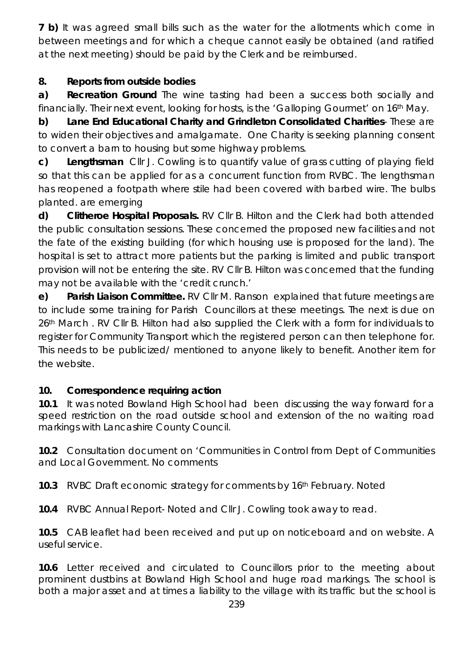**7 b)** It was agreed small bills such as the water for the allotments which come in between meetings and for which a cheque cannot easily be obtained (and ratified at the next meeting) should be paid by the Clerk and be reimbursed.

## **8. Reports from outside bodies**

**a) Recreation Ground** The wine tasting had been a success both socially and financially. Their next event, looking for hosts, is the 'Galloping Gourmet' on 16th May.

**b) Lane End Educational Charity and Grindleton Consolidated Charities**- These are to widen their objectives and amalgamate. One Charity is seeking planning consent to convert a barn to housing but some highway problems.

**c) Lengthsman** Cllr J. Cowling is to quantify value of grass cutting of playing field so that this can be applied for as a concurrent function from RVBC. The lengthsman has reopened a footpath where stile had been covered with barbed wire. The bulbs planted. are emerging

**d) Clitheroe Hospital Proposals.** RV Cllr B. Hilton and the Clerk had both attended the public consultation sessions. These concerned the proposed new facilities and not the fate of the existing building (for which housing use is proposed for the land). The hospital is set to attract more patients but the parking is limited and public transport provision will not be entering the site. RV Cllr B. Hilton was concerned that the funding may not be available with the 'credit crunch.'

**e) Parish Liaison Committee.** RV Cllr M. Ranson explained that future meetings are to include some training for Parish Councillors at these meetings. The next is due on 26<sup>th</sup> March . RV Cllr B. Hilton had also supplied the Clerk with a form for individuals to register for Community Transport which the registered person can then telephone for. This needs to be publicized/ mentioned to anyone likely to benefit. Another item for the website.

### **10. Correspondence requiring action**

**10.1** It was noted Bowland High School had been discussing the way forward for a speed restriction on the road outside school and extension of the no waiting road markings with Lancashire County Council.

**10.2** Consultation document on 'Communities in Control from Dept of Communities and Local Government. No comments

**10.3** RVBC Draft economic strategy for comments by 16th February. Noted

**10.4** RVBC Annual Report- Noted and Cllr J. Cowling took away to read.

**10.5** CAB leaflet had been received and put up on noticeboard and on website. A useful service.

**10.6** Letter received and circulated to Councillors prior to the meeting about prominent dustbins at Bowland High School and huge road markings. The school is both a major asset and at times a liability to the village with its traffic but the school is